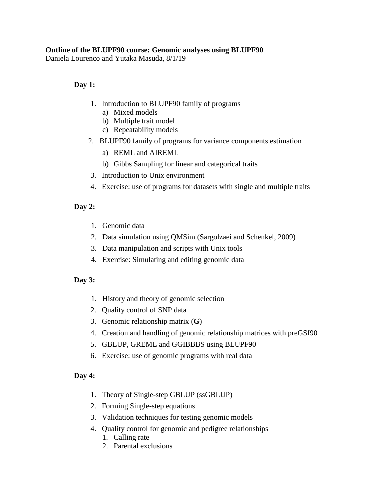### **Outline of the BLUPF90 course: Genomic analyses using BLUPF90**

Daniela Lourenco and Yutaka Masuda, 8/1/19

## **Day 1:**

- 1. Introduction to BLUPF90 family of programs
	- a) Mixed models
	- b) Multiple trait model
	- c) Repeatability models
- 2. [BLUPF90 family of programs for variance](http://nce.ads.uga.edu/wiki/lib/exe/fetch.php?media=uga_1_models.pdf) components estimation
	- a) REML and AIREML
	- b) Gibbs Sampling for linear and categorical traits
- 3. Introduction to Unix environment
- 4. Exercise: use of programs for datasets with single and multiple traits

# **Day 2:**

- 1. Genomic data
- 2. Data simulation using QMSim (Sargolzaei and Schenkel, 2009)
- 3. Data manipulation and scripts with Unix tools
- 4. Exercise: Simulating and editing genomic data

# **Day 3:**

- 1. History and theory of genomic selection
- 2. Quality control of SNP data
- 3. [Genomic relationship matrix](http://nce.ads.uga.edu/wiki/lib/exe/fetch.php?media=uga_3_relationship.pdf) (**G**)
- 4. [Creation and handling of genomic relationship matrices with preGSf90](http://nce.ads.uga.edu/wiki/lib/exe/fetch.php?media=uga_pregs.pdf)
- 5. GBLUP, GREML and GGIBBBS using BLUPF90
- 6. Exercise: use of genomic [programs with real](http://nce.ads.uga.edu/wiki/lib/exe/fetch.php?media=exercises_gmatrix.pdf) data

#### **Day 4:**

- 1. Theory of Single-step GBLUP (ssGBLUP)
- 2. Forming Single-step equations
- 3. Validation techniques for testing genomic models
- 4. Quality control for genomic and pedigree relationships
	- 1. Calling rate
	- 2. Parental exclusions